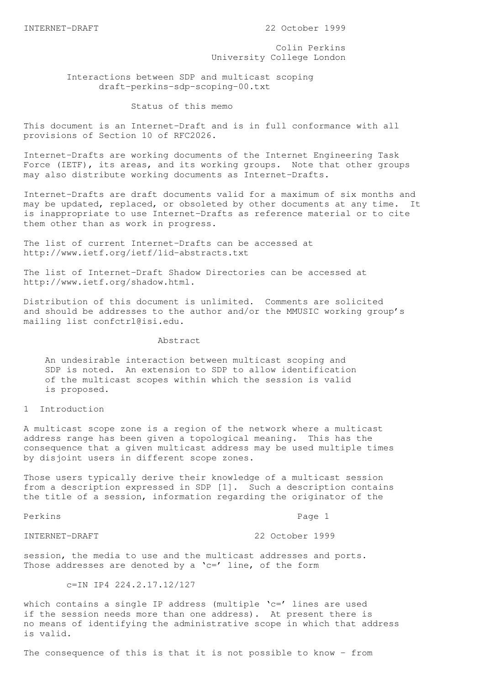INTERNET-DRAFT 22 October 1999

 Colin Perkins University College London

 Interactions between SDP and multicast scoping draft-perkins-sdp-scoping-00.txt

Status of this memo

This document is an Internet-Draft and is in full conformance with all provisions of Section 10 of RFC2026.

Internet-Drafts are working documents of the Internet Engineering Task Force (IETF), its areas, and its working groups. Note that other groups may also distribute working documents as Internet-Drafts.

Internet-Drafts are draft documents valid for a maximum of six months and may be updated, replaced, or obsoleted by other documents at any time. It is inappropriate to use Internet-Drafts as reference material or to cite them other than as work in progress.

The list of current Internet-Drafts can be accessed at http://www.ietf.org/ietf/1id-abstracts.txt

The list of Internet-Draft Shadow Directories can be accessed at http://www.ietf.org/shadow.html.

Distribution of this document is unlimited. Comments are solicited and should be addresses to the author and/or the MMUSIC working group's mailing list confctrl@isi.edu.

## Abstract

 An undesirable interaction between multicast scoping and SDP is noted. An extension to SDP to allow identification of the multicast scopes within which the session is valid is proposed.

1 Introduction

A multicast scope zone is a region of the network where a multicast address range has been given a topological meaning. This has the consequence that a given multicast address may be used multiple times by disjoint users in different scope zones.

Those users typically derive their knowledge of a multicast session from a description expressed in SDP [1]. Such a description contains the title of a session, information regarding the originator of the

Perkins Page 1

INTERNET-DRAFT 22 October 1999

session, the media to use and the multicast addresses and ports. Those addresses are denoted by a  $'c='$  line, of the form

c=IN IP4 224.2.17.12/127

which contains a single IP address (multiple 'c=' lines are used if the session needs more than one address). At present there is no means of identifying the administrative scope in which that address is valid.

The consequence of this is that it is not possible to know - from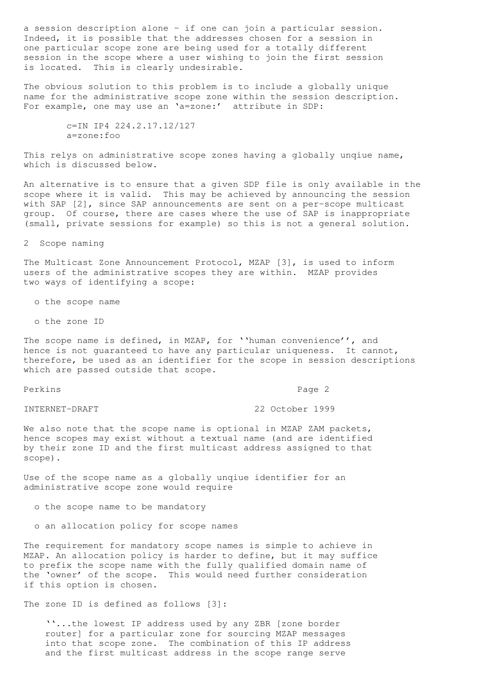a session description alone - if one can join a particular session. Indeed, it is possible that the addresses chosen for a session in one particular scope zone are being used for a totally different session in the scope where a user wishing to join the first session is located. This is clearly undesirable.

The obvious solution to this problem is to include a globally unique name for the administrative scope zone within the session description. For example, one may use an 'a=zone:' attribute in SDP:

> c=IN IP4 224.2.17.12/127 a=zone:foo

This relys on administrative scope zones having a globally unqiue name, which is discussed below.

An alternative is to ensure that a given SDP file is only available in the scope where it is valid. This may be achieved by announcing the session with SAP [2], since SAP announcements are sent on a per-scope multicast group. Of course, there are cases where the use of SAP is inappropriate (small, private sessions for example) so this is not a general solution.

2 Scope naming

The Multicast Zone Announcement Protocol, MZAP [3], is used to inform users of the administrative scopes they are within. MZAP provides two ways of identifying a scope:

o the scope name

o the zone ID

The scope name is defined, in MZAP, for ''human convenience'', and hence is not guaranteed to have any particular uniqueness. It cannot, therefore, be used as an identifier for the scope in session descriptions which are passed outside that scope.

Perkins Page 2

INTERNET-DRAFT 22 October 1999

We also note that the scope name is optional in MZAP ZAM packets, hence scopes may exist without a textual name (and are identified by their zone ID and the first multicast address assigned to that scope).

Use of the scope name as a globally unqiue identifier for an administrative scope zone would require

o the scope name to be mandatory

o an allocation policy for scope names

The requirement for mandatory scope names is simple to achieve in MZAP. An allocation policy is harder to define, but it may suffice to prefix the scope name with the fully qualified domain name of the 'owner' of the scope. This would need further consideration if this option is chosen.

The zone ID is defined as follows [3]:

 ''...the lowest IP address used by any ZBR [zone border router] for a particular zone for sourcing MZAP messages into that scope zone. The combination of this IP address and the first multicast address in the scope range serve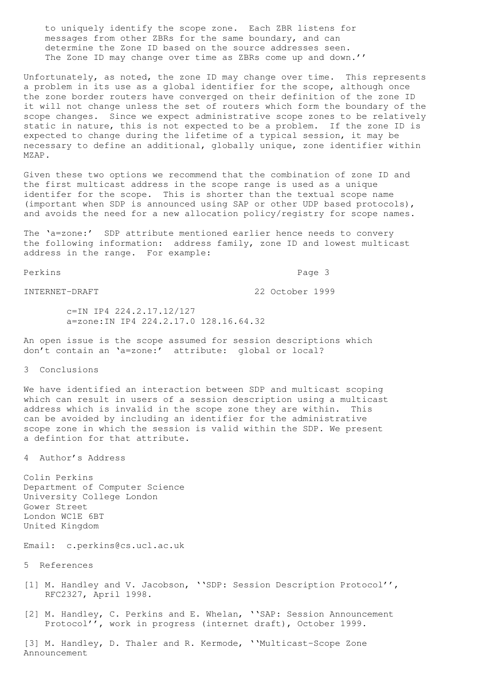to uniquely identify the scope zone. Each ZBR listens for messages from other ZBRs for the same boundary, and can determine the Zone ID based on the source addresses seen. The Zone ID may change over time as ZBRs come up and down.''

Unfortunately, as noted, the zone ID may change over time. This represents a problem in its use as a global identifier for the scope, although once the zone border routers have converged on their definition of the zone ID it will not change unless the set of routers which form the boundary of the scope changes. Since we expect administrative scope zones to be relatively static in nature, this is not expected to be a problem. If the zone ID is expected to change during the lifetime of a typical session, it may be necessary to define an additional, globally unique, zone identifier within MZAP.

Given these two options we recommend that the combination of zone ID and the first multicast address in the scope range is used as a unique identifer for the scope. This is shorter than the textual scope name (important when SDP is announced using SAP or other UDP based protocols), and avoids the need for a new allocation policy/registry for scope names.

The 'a=zone:' SDP attribute mentioned earlier hence needs to convery the following information: address family, zone ID and lowest multicast address in the range. For example:

Perkins Page 3

INTERNET-DRAFT 22 October 1999

 c=IN IP4 224.2.17.12/127 a=zone:IN IP4 224.2.17.0 128.16.64.32

An open issue is the scope assumed for session descriptions which don't contain an 'a=zone:' attribute: global or local?

3 Conclusions

We have identified an interaction between SDP and multicast scoping which can result in users of a session description using a multicast address which is invalid in the scope zone they are within. This can be avoided by including an identifier for the administrative scope zone in which the session is valid within the SDP. We present a defintion for that attribute.

4 Author's Address

Colin Perkins Department of Computer Science University College London Gower Street London WC1E 6BT United Kingdom

Email: c.perkins@cs.ucl.ac.uk

5 References

- [1] M. Handley and V. Jacobson, ''SDP: Session Description Protocol'', RFC2327, April 1998.
- [2] M. Handley, C. Perkins and E. Whelan, ''SAP: Session Announcement Protocol'', work in progress (internet draft), October 1999.

[3] M. Handley, D. Thaler and R. Kermode, ''Multicast-Scope Zone Announcement